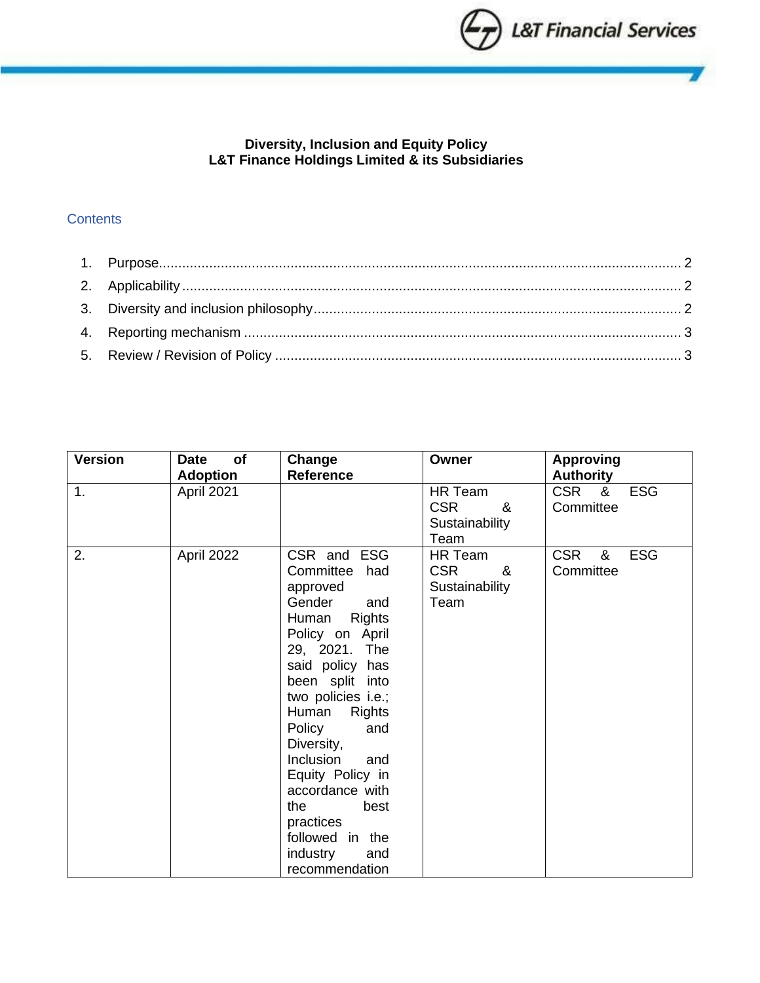

# **Diversity, Inclusion and Equity Policy L&T Finance Holdings Limited & its Subsidiaries**

# **Contents**

| <b>Version</b> | of<br><b>Date</b><br><b>Adoption</b> | Change<br><b>Reference</b>                                                                                                                                                                                                                                                                                                                                                                     | Owner                                                | <b>Approving</b><br><b>Authority</b>       |
|----------------|--------------------------------------|------------------------------------------------------------------------------------------------------------------------------------------------------------------------------------------------------------------------------------------------------------------------------------------------------------------------------------------------------------------------------------------------|------------------------------------------------------|--------------------------------------------|
| 1.             | April 2021                           |                                                                                                                                                                                                                                                                                                                                                                                                | HR Team<br><b>CSR</b><br>&<br>Sustainability<br>Team | CSR &<br><b>ESG</b><br>Committee           |
| 2.             | April 2022                           | CSR and ESG<br>Committee<br>had<br>approved<br>Gender<br>and<br><b>Rights</b><br>Human<br>Policy on April<br>29, 2021. The<br>said policy has<br>been split into<br>two policies i.e.;<br>Human<br><b>Rights</b><br>Policy<br>and<br>Diversity,<br>Inclusion<br>and<br>Equity Policy in<br>accordance with<br>the<br>best<br>practices<br>followed in the<br>industry<br>and<br>recommendation | HR Team<br><b>CSR</b><br>&<br>Sustainability<br>Team | <b>CSR</b><br><b>ESG</b><br>&<br>Committee |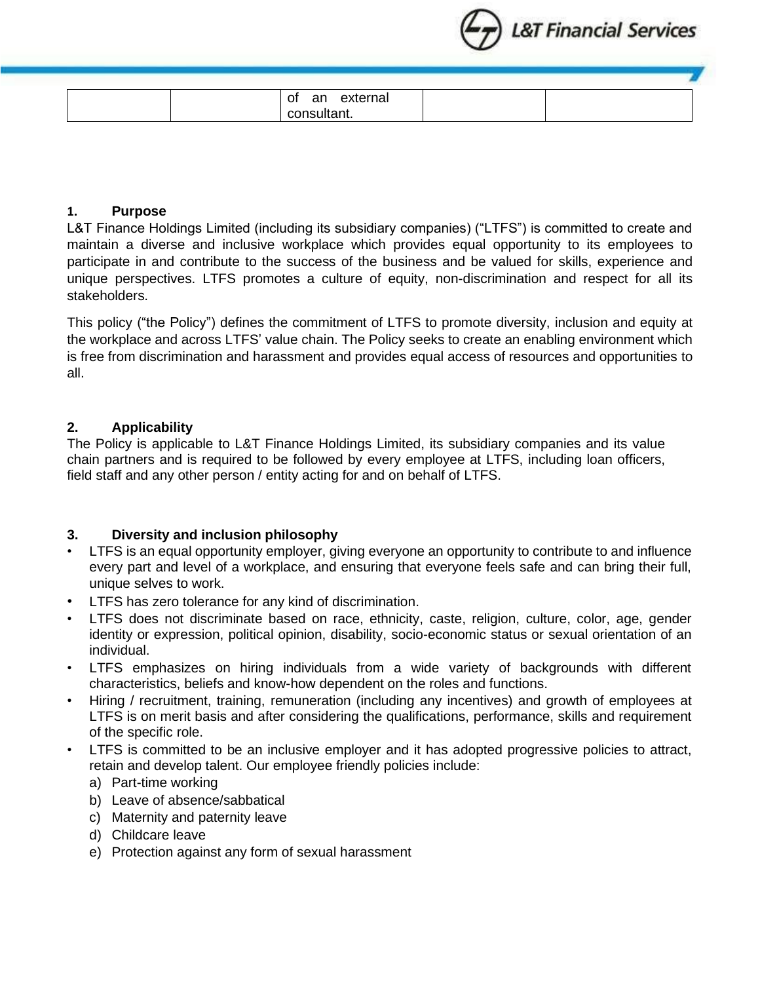

| 01<br>r r<br>au | $\sim$<br>-<br>ıa<br>__ |  |
|-----------------|-------------------------|--|
|                 |                         |  |

#### <span id="page-1-0"></span>**1. Purpose**

L&T Finance Holdings Limited (including its subsidiary companies) ("LTFS") is committed to create and maintain a diverse and inclusive workplace which provides equal opportunity to its employees to participate in and contribute to the success of the business and be valued for skills, experience and unique perspectives. LTFS promotes a culture of equity, non-discrimination and respect for all its stakeholders.

This policy ("the Policy") defines the commitment of LTFS to promote diversity, inclusion and equity at the workplace and across LTFS' value chain. The Policy seeks to create an enabling environment which is free from discrimination and harassment and provides equal access of resources and opportunities to all.

### <span id="page-1-1"></span>**2. Applicability**

The Policy is applicable to L&T Finance Holdings Limited, its subsidiary companies and its value chain partners and is required to be followed by every employee at LTFS, including loan officers, field staff and any other person / entity acting for and on behalf of LTFS.

## <span id="page-1-2"></span>**3. Diversity and inclusion philosophy**

- LTFS is an equal opportunity employer, giving everyone an opportunity to contribute to and influence every part and level of a workplace, and ensuring that everyone feels safe and can bring their full, unique selves to work.
- LTFS has zero tolerance for any kind of discrimination.
- LTFS does not discriminate based on race, ethnicity, caste, religion, culture, color, age, gender identity or expression, political opinion, disability, socio-economic status or sexual orientation of an individual.
- LTFS emphasizes on hiring individuals from a wide variety of backgrounds with different characteristics, beliefs and know-how dependent on the roles and functions.
- Hiring / recruitment, training, remuneration (including any incentives) and growth of employees at LTFS is on merit basis and after considering the qualifications, performance, skills and requirement of the specific role.
- LTFS is committed to be an inclusive employer and it has adopted progressive policies to attract, retain and develop talent. Our employee friendly policies include:
	- a) Part-time working
	- b) Leave of absence/sabbatical
	- c) Maternity and paternity leave
	- d) Childcare leave
	- e) Protection against any form of sexual harassment